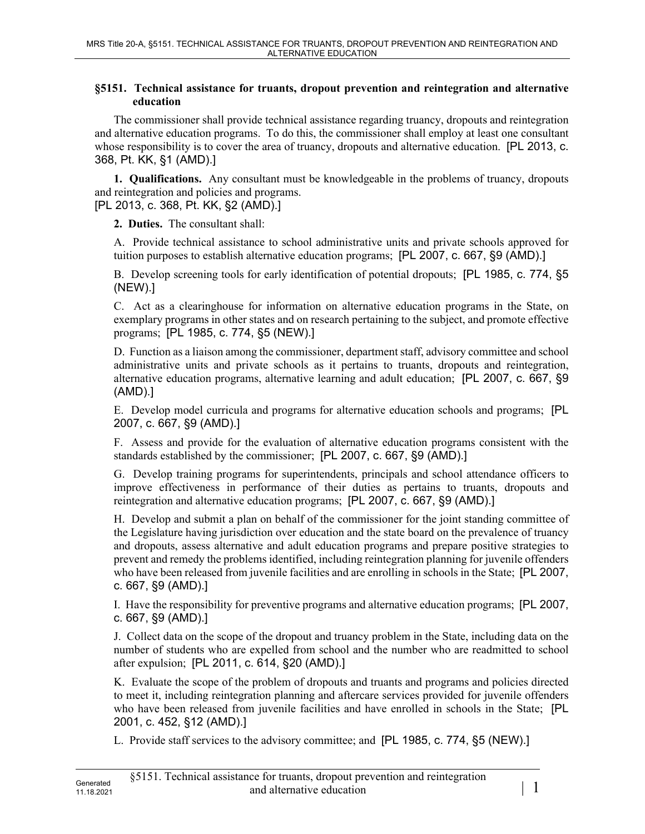## **§5151. Technical assistance for truants, dropout prevention and reintegration and alternative education**

The commissioner shall provide technical assistance regarding truancy, dropouts and reintegration and alternative education programs. To do this, the commissioner shall employ at least one consultant whose responsibility is to cover the area of truancy, dropouts and alternative education. [PL 2013, c. 368, Pt. KK, §1 (AMD).]

**1. Qualifications.** Any consultant must be knowledgeable in the problems of truancy, dropouts and reintegration and policies and programs.

[PL 2013, c. 368, Pt. KK, §2 (AMD).]

**2. Duties.** The consultant shall:

A. Provide technical assistance to school administrative units and private schools approved for tuition purposes to establish alternative education programs; [PL 2007, c. 667, §9 (AMD).]

B. Develop screening tools for early identification of potential dropouts; [PL 1985, c. 774, §5 (NEW).]

C. Act as a clearinghouse for information on alternative education programs in the State, on exemplary programs in other states and on research pertaining to the subject, and promote effective programs; [PL 1985, c. 774, §5 (NEW).]

D. Function as a liaison among the commissioner, department staff, advisory committee and school administrative units and private schools as it pertains to truants, dropouts and reintegration, alternative education programs, alternative learning and adult education; [PL 2007, c. 667, §9 (AMD).]

E. Develop model curricula and programs for alternative education schools and programs; [PL 2007, c. 667, §9 (AMD).]

F. Assess and provide for the evaluation of alternative education programs consistent with the standards established by the commissioner; [PL 2007, c. 667, §9 (AMD).]

G. Develop training programs for superintendents, principals and school attendance officers to improve effectiveness in performance of their duties as pertains to truants, dropouts and reintegration and alternative education programs; [PL 2007, c. 667, §9 (AMD).]

H. Develop and submit a plan on behalf of the commissioner for the joint standing committee of the Legislature having jurisdiction over education and the state board on the prevalence of truancy and dropouts, assess alternative and adult education programs and prepare positive strategies to prevent and remedy the problems identified, including reintegration planning for juvenile offenders who have been released from juvenile facilities and are enrolling in schools in the State; [PL 2007, c. 667, §9 (AMD).]

I. Have the responsibility for preventive programs and alternative education programs; [PL 2007, c. 667, §9 (AMD).]

J. Collect data on the scope of the dropout and truancy problem in the State, including data on the number of students who are expelled from school and the number who are readmitted to school after expulsion; [PL 2011, c. 614, §20 (AMD).]

K. Evaluate the scope of the problem of dropouts and truants and programs and policies directed to meet it, including reintegration planning and aftercare services provided for juvenile offenders who have been released from juvenile facilities and have enrolled in schools in the State; [PL 2001, c. 452, §12 (AMD).]

L. Provide staff services to the advisory committee; and [PL 1985, c. 774, §5 (NEW).]